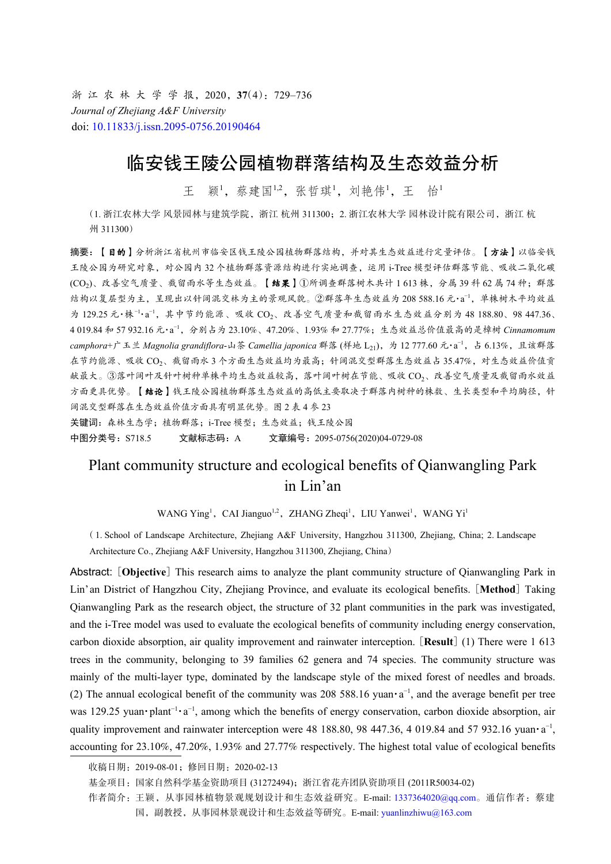浙 江 农 林 大 学 学 报, 2020, 37(4): 729-736 *Journal of Zhejiang A&F University* doi: [10.11833/j.issn.2095-0756.20190464](https://doi.org/10.11833/j.issn.2095-0756.20190464)

# 临安钱王陵公园植物群落结构及生态效益分析

王 颖<sup>1</sup>,蔡建国<sup>1,2</sup>,张哲琪<sup>1</sup>, 刘艳伟<sup>1</sup>, 王 怡<sup>1</sup>

(1. 浙江农林大学 风景园林与建筑学院, 浙江 杭州 311300; 2. 浙江农林大学 园林设计院有限公司, 浙江 杭 州 311300)

摘要:【目的】分析浙江省杭州市临安区钱王陵公园植物群落结构,并对其生态效益进行定量评估。【方法】以临安钱 王陵公园为研究对象,对公园内 32 个植物群落资源结构进行实地调查,运用 i-Tree 模型评估群落节能、吸收二氧化碳 (CO<sub>2</sub>)、改善空气质量、截留雨水等生态效益。【结果】①所调查群落树木共计 1 613 株, 分属 39 科 62 属 74 种;群落 结构以复层型为主,呈现出以针阔混交林为主的景观风貌。②群落年生态效益为 208 588.16 元·a −1,单株树木平均效益 为 129.25 元·株<sup>-1</sup>·a<sup>-1</sup>, 其中节约能源、吸收 CO<sub>2</sub>、改善空气质量和截留雨水生态效益分别为 48 188.80、98 447.36、 4 019.84 和 57 932.16 元·a −1,分别占为 23.10%、47.20%、1.93% 和 27.77%;生态效益总价值最高的是樟树 *Cinnamomum camphora*+广玉兰 *Magnolia grandiflora-山茶 Camellia japonica* 群落(样地 L<sub>21</sub>),为 12 777.60 元·a<sup>-1</sup>,占 6.13%,且该群落 在节约能源、吸收 CO2、截留雨水 3 个方面生态效益均为最高;针阔混交型群落生态效益占 35.47%,对生态效益价值贡 献最大。③落叶阔叶及针叶树种单株平均生态效益较高,落叶阔叶树在节能、吸收 CO2、改善空气质量及截留雨水效益 方面更具优势。【结论】钱王陵公园植物群落生态效益的高低主要取决于群落内树种的株数、生长类型和平均胸径,针 阔混交型群落在生态效益价值方面具有明显优势。图 2 表 4 参 23

关键词:森林生态学;植物群落;i-Tree 模型;生态效益;钱王陵公园

中图分类号: S718.5 文献标志码: A 文章编号: 2095-0756(2020)04-0729-08

## Plant community structure and ecological benefits of Qianwangling Park in Lin'an

WANG Ying<sup>1</sup>, CAI Jianguo<sup>1,2</sup>, ZHANG Zheqi<sup>1</sup>, LIU Yanwei<sup>1</sup>, WANG Yi<sup>1</sup>

( 1. School of Landscape Architecture, Zhejiang A&F University, Hangzhou 311300, Zhejiang, China; 2. Landscape Architecture Co., Zhejiang A&F University, Hangzhou 311300, Zhejiang, China)

Abstract: [**Objective**] This research aims to analyze the plant community structure of Qianwangling Park in Lin'an District of Hangzhou City, Zhejiang Province, and evaluate its ecological benefits. [**Method**] Taking Qianwangling Park as the research object, the structure of 32 plant communities in the park was investigated, and the i-Tree model was used to evaluate the ecological benefits of community including energy conservation, carbon dioxide absorption, air quality improvement and rainwater interception. [**Result**] (1) There were 1 613 trees in the community, belonging to 39 families 62 genera and 74 species. The community structure was mainly of the multi-layer type, dominated by the landscape style of the mixed forest of needles and broads. (2) The annual ecological benefit of the community was 208 588.16 yuan $\cdot a^{-1}$ , and the average benefit per tree was 129.25 yuan•plant<sup>-1</sup>•a<sup>-1</sup>, among which the benefits of energy conservation, carbon dioxide absorption, air quality improvement and rainwater interception were 48 188.80, 98 447.36, 4 019.84 and 57 932.16 yuan· $a^{-1}$ , accounting for 23.10%, 47.20%, 1.93% and 27.77% respectively. The highest total value of ecological benefits

收稿日期:2019-08-01;修回日期:2020-02-13

基金项目:国家自然科学基金资助项目 (31272494);浙江省花卉团队资助项目 (2011R50034-02)

作者简介:王颖,从事园林植物景观规划设计和生态效益研究。E-mail: [1337364020@qq.com](mailto:1337364020@qq.com)。通信作者:蔡建

国,副教授,从事园林景观设计和生态效益等研究。E-mail: [yuanlinzhiwu@163.com](mailto:yuanlinzhiwu@163.com)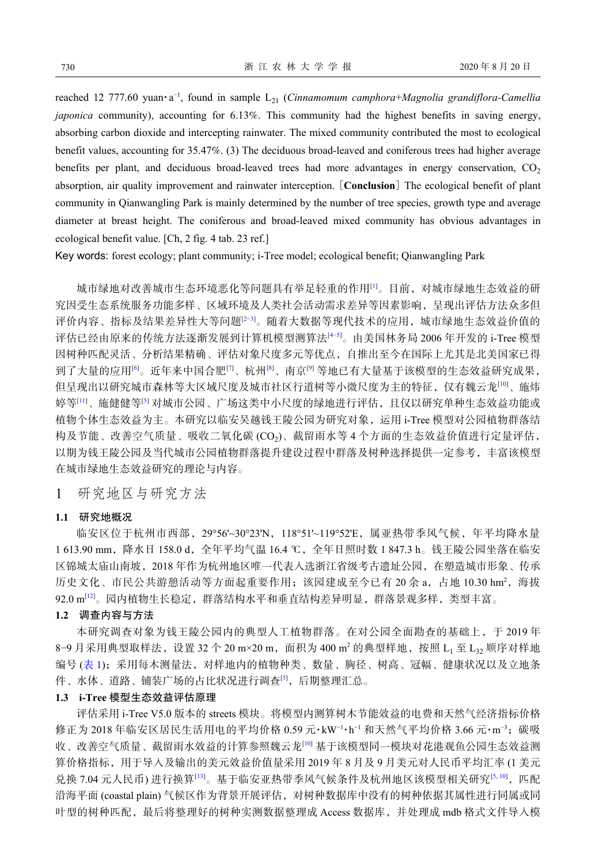reached 12 777.60 yuan·a −1, found in sample L<sup>21</sup> (*Cinnamomum camphora*+*Magnolia grandiflora-Camellia japonica* community), accounting for 6.13%. This community had the highest benefits in saving energy, absorbing carbon dioxide and intercepting rainwater. The mixed community contributed the most to ecological benefit values, accounting for 35.47%. (3) The deciduous broad-leaved and coniferous trees had higher average benefits per plant, and deciduous broad-leaved trees had more advantages in energy conservation,  $CO<sub>2</sub>$ absorption, air quality improvement and rainwater interception. [**Conclusion**] The ecological benefit of plant community in Qianwangling Park is mainly determined by the number of tree species, growth type and average diameter at breast height. The coniferous and broad-leaved mixed community has obvious advantages in ecological benefit value. [Ch, 2 fig. 4 tab. 23 ref.]

Key words: forest ecology; plant community; i-Tree model; ecological benefit; Qianwangling Park

城市绿地对改善城市生态环境恶化等问题具有举足轻重的作用[[1\]](#page-6-0)。目前,对城市绿地生态效益的研 究因受生态系统服务功能多样、区域环境及人类社会活动需求差异等因素影响,呈现出评估方法众多但 评价内容、指标及结果差异性大等问题[2-[3](#page-6-2)]。随着大数据等现代技术的应用,城市绿地生态效益价值的 评估已经由原来的传统方法逐渐发展到计算机模型测算法[[4−](#page-6-3)[5](#page-6-4)]。由美国林务局 2006 年开发的 i-Tree 模型 因树种匹配灵活、分析结果精确、评估对象尺度多元等优点,自推出至今在国际上尤其是北美国家已得 到了大量的应用[[6\]](#page-6-5)。近年来中国合肥[[7\]](#page-6-6)、杭州[[8](#page-6-7)]、南京[\[9](#page-6-8)] 等地已有大量基于该模型的生态效益研究成果, 但呈现出以研究城市森林等大区域尺度及城市社区行道树等小微尺度为主的特征,仅有魏云龙[\[10](#page-6-9)]、施炜 婷等[\[11](#page-7-0)]、施健健等[\[5](#page-6-4)] 对城市公园、广场这类中小尺度的绿地进行评估,且仅以研究单种生态效益功能或 植物个体生态效益为主。本研究以临安吴越钱王陵公园为研究对象,运用 i-Tree 模型对公园植物群落结 构及节能、改善空气质量、吸收二氧化碳 (CO<sub>2</sub>)、截留雨水等 4 个方面的生态效益价值进行定量评估, 以期为钱王陵公园及当代城市公园植物群落提升建设过程中群落及树种选择提供一定参考,丰富该模型 在城市绿地生态效益研究的理论与内容。

1 研究地区与研究方法

#### **1.1** 研究地概况

临安区位于杭州市西部, 29°56'~30°23'N, 118°51'~119°52'E, 属亚热带季风气候, 年平均降水量 1 613.90 mm,降水日 158.0 d,全年平均气温 16.4 ℃,全年日照时数 1 847.3 h。钱王陵公园坐落在临安 区锦城太庙山南坡,2018 年作为杭州地区唯一代表入选浙江省级考古遗址公园,在塑造城市形象、传承 历史文化、市民公共游憩活动等方面起重要作用;该园建成至今已有 20 余 a, 占地 10.30 hm2, 海拔 92.0 m[[12\]](#page-7-1)。园内植物生长稳定,群落结构水平和垂直结构差异明显,群落景观多样,类型丰富。

### **1.2** 调查内容与方法

本研究调查对象为钱王陵公园内的典型人工植物群落。在对公园全面勘查的基础上,于 2019 年 8-9月采用典型取样法,设置 32个 20 m×20 m, 面积为 400 m2 的典型样地, 按照 L<sub>1</sub> 至 L<sub>3</sub> 顺序对样地 编号 ([表](#page-2-0) [1](#page-2-0)); 采用每木测量法, 对样地内的植物种类、数量、胸径、树高、冠幅、健康状况以及立地条 件、水体、道路、铺装广场的占比状况进行调查[[5\]](#page-6-4),后期整理汇总。

#### **1.3 i-Tree** 模型生态效益评估原理

评估采用 i-Tree V5.0 版本的 streets 模块。将模型内测算树木节能效益的电费和天然气经济指标价格 修正为 2018年临安区居民生活用电的平均价格 0.59 元·kW<sup>-1</sup>·h<sup>-1</sup> 和天然气平均价格 3.66 元·m<sup>-3</sup>; 碳吸 收、改善空气质量、截留雨水效益的计算参照魏云龙[[10\]](#page-6-9) 基于该模型同一模块对花港观鱼公园生态效益测 算价格指标,用于导入及输出的美元效益价值量采用 2019 年 8 月及 9 月美元对人民币平均汇率 (1 美元 兑换 7.04 元人民币) 进行换算[\[13](#page-7-2)]。基于临安亚热带季风气候条件及杭州地区该模型相关研究[\[5,](#page-6-4)[10\]](#page-6-9),匹配 沿海平面 (coastal plain) 气候区作为背景开展评估, 对树种数据库中没有的树种依据其属性进行同属或同 叶型的树种匹配,最后将整理好的树种实测数据整理成 Access 数据库,并处理成 mdb 格式文件导入模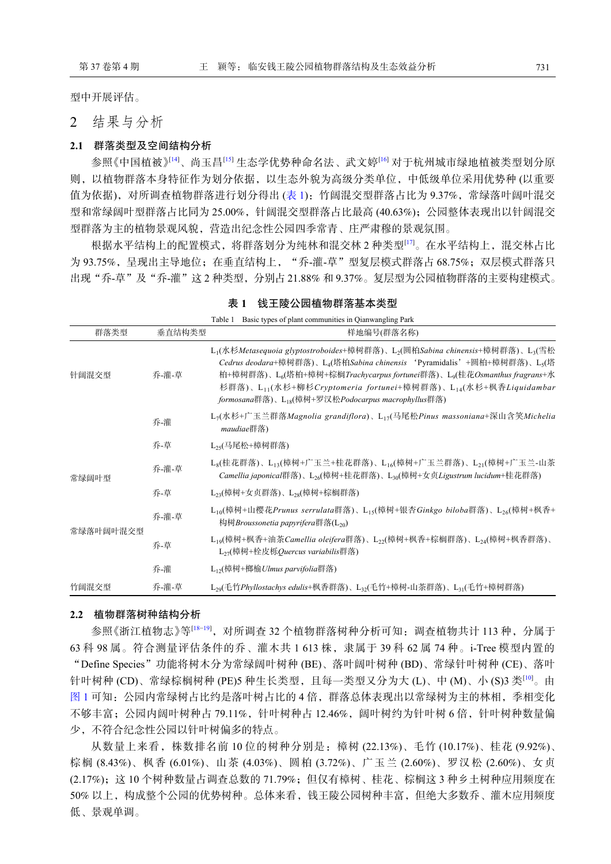型中开展评估。

2 结果与分析

#### **2.1** 群落类型及空间结构分析

参照《中国植被》<sup>[[14\]](#page-7-3)</sup>、尚玉昌<sup>[[15\]](#page-7-4)</sup> 生态学优势种命名法、武文婷<sup>[[16](#page-7-5)]</sup> 对于杭州城市绿地植被类型划分原 则,以植物群落本身特征作为划分依据,以生态外貌为高级分类单位,中低级单位采用优势种 (以重要 值为依据), 对所调查植物群落进行划分得出 ([表](#page-2-0) [1](#page-2-0)): 竹阔混交型群落占比为 9.37%, 常绿落叶阔叶混交 型和常绿阔叶型群落占比同为 25.00%,针阔混交型群落占比最高 (40.63%);公园整体表现出以针阔混交 型群落为主的植物景观风貌,营造出纪念性公园四季常青、庄严肃穆的景观氛围。

根据水平结构上的配置模式,将群落划分为纯林和混交林 2 种类型[\[17](#page-7-6)]。在水平结构上,混交林占比 为 93.75%, 呈现出主导地位; 在垂直结构上, "乔-灌-草"型复层模式群落占 68.75%; 双层模式群落只 出现"乔-草"及"乔-灌"这 2 种类型,分别占 21.88% 和 9.37%。复层型为公园植物群落的主要构建模式。

|           |        | Table 1 Basic types of plant communities in Qianwangling Park                                                                                                                                                                                                                                                                                                                                                                                                                        |
|-----------|--------|--------------------------------------------------------------------------------------------------------------------------------------------------------------------------------------------------------------------------------------------------------------------------------------------------------------------------------------------------------------------------------------------------------------------------------------------------------------------------------------|
| 群落类型      | 垂直结构类型 | 样地编号(群落名称)                                                                                                                                                                                                                                                                                                                                                                                                                                                                           |
| 针阔混交型     | 乔-灌-草  | L <sub>1</sub> (水杉Metasequoia glyptostroboides+樟树群落)、L <sub>2</sub> (圆柏Sabina chinensis+樟树群落)、L <sub>3</sub> (雪松<br>Cedrus deodara+樟树群落)、L <sub>4</sub> (塔柏Sabina chinensis 'Pyramidalis'+圆柏+樟树群落)、L <sub>5</sub> (塔<br>柏+樟树群落)、L <sub>6</sub> (塔柏+樟树+棕榈Trachycarpus fortunei群落)、L <sub>9</sub> (桂花Osmanthus fragrans+水<br>杉群落)、L <sub>11</sub> (水杉+柳杉Cryptomeria fortunei+樟树群落)、L <sub>14</sub> (水杉+枫香Liquidambar<br>formosana群落)、L <sub>18</sub> (樟树+罗汉松Podocarpus macrophyllus群落) |
|           | 乔-灌    | $L_7$ (水杉+广玉兰群落Magnolia grandiflora)、 $L_{17}$ (马尾松Pinus massoniana+深山含笑Michelia<br><i>maudiae</i> 群落)                                                                                                                                                                                                                                                                                                                                                                               |
|           | 乔-草    | $L_{25}$ (马尾松+樟树群落)                                                                                                                                                                                                                                                                                                                                                                                                                                                                  |
| 常绿阔叶型     | 乔-灌-草  | L <sub>8</sub> (桂花群落)、L <sub>13</sub> (樟树+广玉兰+桂花群落)、L <sub>16</sub> (樟树+广玉兰群落)、L <sub>21</sub> (樟树+广玉兰-山茶<br>Camellia japonical群落)、L <sub>26</sub> (樟树+桂花群落)、L <sub>30</sub> (樟树+女贞Ligustrum lucidum+桂花群落)                                                                                                                                                                                                                                                                           |
|           | 乔-草    | L <sub>23</sub> (樟树+女贞群落)、L <sub>28</sub> (樟树+棕榈群落)                                                                                                                                                                                                                                                                                                                                                                                                                                  |
| 常绿落叶阔叶混交型 | 乔-灌-草  | L <sub>10</sub> (樟树+山樱花Prunus serrulata群落)、L <sub>15</sub> (樟树+银杏Ginkgo biloba群落)、L <sub>26</sub> (樟树+枫香+<br>构树Broussonetia papyrifera群落(L <sub>20</sub> )                                                                                                                                                                                                                                                                                                                           |
|           | 乔-草    | $L_{10}$ (樟树+枫香+油茶Camellia oleifera群落)、 $L_{22}$ (樟树+枫香+棕榈群落)、 $L_{24}$ (樟树+枫香群落)、<br>$L_{27}$ (樟树+栓皮栎Ouercus variabilis群落)                                                                                                                                                                                                                                                                                                                                                          |
|           | 乔-灌    | L <sub>12</sub> (樟树+榔榆Ulmus parvifolia群落)                                                                                                                                                                                                                                                                                                                                                                                                                                            |
| 竹阔混交型     | 乔-灌-草  | $L_{29}$ (毛竹Phyllostachys edulis+枫香群落)、 $L_{32}$ (毛竹+樟树-山茶群落)、 $L_{31}$ (毛竹+樟树群落)                                                                                                                                                                                                                                                                                                                                                                                                    |

#### <span id="page-2-0"></span>表 **1**  钱王陵公园植物群落基本类型

#### **2.2** 植物群落树种结构分析

参照《浙江植物志》等<sup>[[18−](#page-7-7)[19](#page-7-8)</sup>], 对所调杳 32 个植物群落树种分析可知: 调杳植物共计 113 种, 分属于 63 科 98 属。符合测量评估条件的乔、灌木共 1 613 株, 隶属于 39 科 62 属 74 种。i-Tree 模型内置的 "Define Species"功能将树木分为常绿阔叶树种 (BE)、落叶阔叶树种 (BD)、常绿针叶树种 (CE)、落叶 针叶树种 (CD)、常绿棕榈树种 (PE)5 种生长类型, 且每一类型又分为大 (L)、中 (M)、小 (S)3 类[[10\]](#page-6-9)。由 [图](#page-3-0) [1](#page-3-0) 可知: 公园内常绿树占比约是落叶树占比的 4 倍, 群落总体表现出以常绿树为主的林相, 季相变化 不够丰富;公园内阔叶树种占 79.11%,针叶树种占 12.46%,阔叶树约为针叶树 6 倍,针叶树种数量偏 少,不符合纪念性公园以针叶树偏多的特点。

从数量上来看,株数排名前 10 位的树种分别是:樟树 (22.13%)、毛竹 (10.17%)、桂花 (9.92%)、 棕榈 (8.43%)、枫香 (6.01%)、山茶 (4.03%)、圆柏 (3.72%)、广玉兰 (2.60%)、罗汉松 (2.60%)、女贞 (2.17%);这 10 个树种数量占调查总数的 71.79%;但仅有樟树、桂花、棕榈这 3 种乡土树种应用频度在 50% 以上,构成整个公园的优势树种。总体来看,钱王陵公园树种丰富,但绝大多数乔、灌木应用频度 低、景观单调。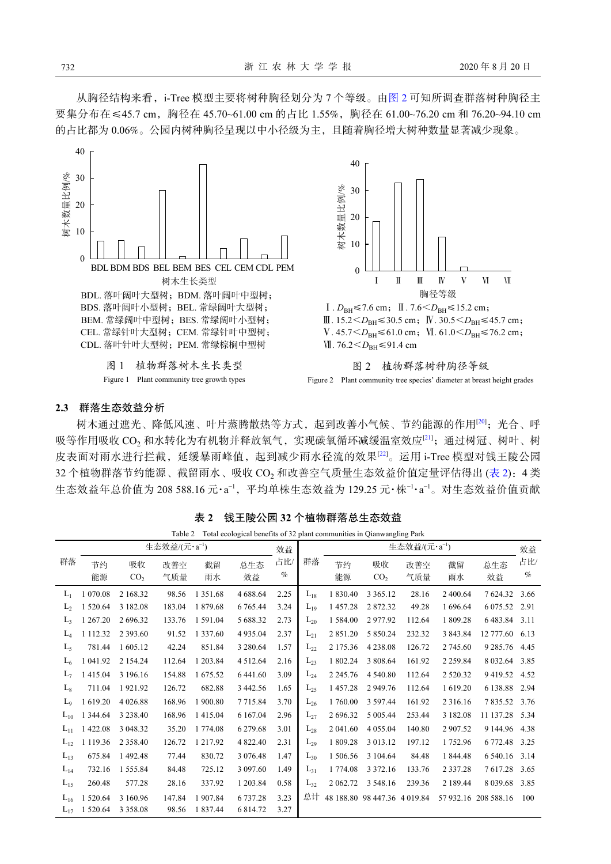从胸径结构来看, i-Tree 模型主要将树种胸径划分为 7 个等级。由[图](#page-3-1) [2](#page-3-1) 可知所调查群落树种胸径主 要集分布在≤45.7 cm, 胸径在 45.70~61.00 cm 的占比 1.55%, 胸径在 61.00~76.20 cm 和 76.20~94.10 cm 的占比都为 0.06%。公园内树种胸径呈现以中小径级为主,且随着胸径增大树种数量显著减少现象。

<span id="page-3-0"></span>

Figure 1 Plant community tree growth types

<span id="page-3-1"></span>

III. 15.2 <  $D_{BH}$ ≤30.5 cm; IV. 30.5 <  $D_{BH}$ ≤45.7 cm;  $V. 45.7 < D<sub>BH</sub> ≤ 61.0$  cm;  $V<sub>L</sub> 61.0 < D<sub>BH</sub> ≤ 76.2$  cm; WI. 76.2 < D<sub>BH</sub> ≤ 91.4 cm





#### **2.3** 群落生态效益分析

树木通过遮光、降低风速、叶片蒸腾散热等方式,起到改善小气候、节约能源的作用[\[20](#page-7-9)];光合、呼 吸等作用吸收 CO<sub>2</sub> 和水转化为有机物并释放氧气, 实现碳氧循环减缓温室效应<sup>[\[21](#page-7-10)]</sup>; 通过树冠、树叶、树 皮表面对雨水进行拦截,延缓暴雨峰值,起到减少雨水径流的效果[\[22](#page-7-11)]。运用 i-Tree 模型对钱王陵公园 32 个植物群落节约能源、截留雨水、吸收 CO<sub>2</sub> 和改善空气质量生态效益价值定量评估得出 ([表](#page-3-2) [2](#page-3-2)): 4 类 生态效益年总价值为 208 588.16 元·a<sup>-1</sup>,平均单株生态效益为 129.25 元·株<sup>-1</sup>·a<sup>-1</sup>。对生态效益价值贡献

|                | Total ecological benefits of 32 plant communities in Qianwangling Park<br>Table 2 |                       |            |             |               |             |          |                           |                              |            |               |               |             |
|----------------|-----------------------------------------------------------------------------------|-----------------------|------------|-------------|---------------|-------------|----------|---------------------------|------------------------------|------------|---------------|---------------|-------------|
|                | 生态效益/(元·a <sup>-1</sup> )<br>效益                                                   |                       |            |             |               |             |          | 生态效益/(元·a <sup>-1</sup> ) |                              |            |               | 效益            |             |
| 群落             | 节约<br>能源                                                                          | 吸收<br>CO <sub>2</sub> | 改善空<br>气质量 | 截留<br>雨水    | 总生态<br>效益     | 占比/<br>$\%$ | 群落       | 节约<br>能源                  | 吸收<br>CO <sub>2</sub>        | 改善空<br>气质量 | 截留<br>雨水      | 总生态<br>效益     | 占比/<br>$\%$ |
| $L_1$          | 1 0 7 0 . 0 8                                                                     | 2 168.32              | 98.56      | 1 3 5 1 .68 | 4 688.64      | 2.25        | $L_{18}$ | 1 830.40                  | 3 3 6 5 1 2                  | 28.16      | 2 400.64      | 7624.32       | 3.66        |
| $L_{2}$        | 520.64                                                                            | 3 182.08              | 183.04     | 1879.68     | 6 765.44      | 3.24        | $L_{19}$ | 1457.28                   | 2872.32                      | 49.28      | 1 696.64      | 6 075.52      | 2.91        |
| L <sub>3</sub> | 267.20                                                                            | 2 696.32              | 133.76     | 1 591.04    | 5 688.32      | 2.73        | $L_{20}$ | 1 5 8 4 .00               | 2977.92                      | 112.64     | 1 809.28      | 6483.84       | 3.11        |
| $L_4$          | 1 1 1 2 . 3 2                                                                     | 2 3 9 3 .60           | 91.52      | 1 337.60    | 4 9 3 5 .04   | 2.37        | $L_{21}$ | 2 851.20                  | 5 850.24                     | 232.32     | 3 843.84      | 12 777.60     | 6.13        |
| $L_5$          | 781.44                                                                            | 1 605.12              | 42.24      | 851.84      | 3 280.64      | 1.57        | $L_{22}$ | 2 175.36                  | 4 2 3 8 . 0 8                | 126.72     | 2 745.60      | 9 2 8 5 . 7 6 | 4.45        |
| $L_6$          | 1 041.92                                                                          | 2 1 5 4 . 2 4         | 112.64     | 1 203.84    | 4 5 1 2 . 6 4 | 2.16        | $L_{23}$ | 1 802.24                  | 3 808.64                     | 161.92     | 2 2 5 9 . 8 4 | 8 0 3 2 . 6 4 | 3.85        |
| L <sub>7</sub> | 1415.04                                                                           | 3 196.16              | 154.88     | 1675.52     | 6 441.60      | 3.09        | $L_{24}$ | 2 2 4 5 .76               | 4 540.80                     | 112.64     | 2 5 2 0 . 3 2 | 9419.52       | 4.52        |
| $L_8$          | 711.04                                                                            | 1921.92               | 126.72     | 682.88      | 3 442.56      | 1.65        | $L_{25}$ | 1457.28                   | 2 949.76                     | 112.64     | 1 619.20      | 6 138.88      | 2.94        |
| $L_9$          | 619.20                                                                            | 4 0 26.88             | 168.96     | 1 900.80    | 7 7 1 5 .84   | 3.70        | $L_{26}$ | 1760.00                   | 3 5 9 7 . 4 4                | 161.92     | 2 3 1 6 . 1 6 | 7835.52       | 3.76        |
| $L_{10}$       | 344.64<br>1                                                                       | 3 2 3 8 . 4 0         | 168.96     | 1415.04     | 6 167.04      | 2.96        | $L_{27}$ | 2 696.32                  | 5 005.44                     | 253.44     | 3 182.08      | 11 137.28     | 5.34        |
| $L_{11}$       | 422.08<br>1                                                                       | 3 048.32              | 35.20      | 1 774.08    | 6 279.68      | 3.01        | $L_{28}$ | 2 041.60                  | 4 0 5 5 .04                  | 140.80     | 2 907.52      | 9 144.96      | 4.38        |
| $L_{12}$       | 1 1 1 9 . 3 6                                                                     | 2 3 5 8 . 4 0         | 126.72     | 1 217.92    | 4 822.40      | 2.31        | $L_{29}$ | 1 809.28                  | 3 013.12                     | 197.12     | 1752.96       | 6 772.48      | 3.25        |
| $L_{13}$       | 675.84                                                                            | 1492.48               | 77.44      | 830.72      | 3 0 7 6 . 4 8 | 1.47        | $L_{30}$ | 1 506.56                  | 3 104.64                     | 84.48      | 1 844.48      | 6 540.16      | 3.14        |
| $L_{14}$       | 732.16                                                                            | 1 555.84              | 84.48      | 725.12      | 3 097.60      | 1.49        | $L_{31}$ | 1 774.08                  | 3 3 7 2 . 1 6                | 133.76     | 2 3 3 7 . 2 8 | 7617.28       | 3.65        |
| $L_{15}$       | 260.48                                                                            | 577.28                | 28.16      | 337.92      | 1 203.84      | 0.58        | $L_{32}$ | 2 062.72                  | 3 548.16                     | 239.36     | 2 189.44      | 8 0 3 9 . 6 8 | 3.85        |
| $L_{16}$       | 520.64                                                                            | 3 160.96              | 147.84     | 1907.84     | 6 737.28      | 3.23        | 总计       |                           | 48 188.80 98 447.36 4 019.84 |            | 57 932.16     | 208 588.16    | 100         |
| $L_{17}$       | 520.64<br>1                                                                       | 3 3 5 8 0 8           | 98.56      | 1 837.44    | 6 814.72      | 3.27        |          |                           |                              |            |               |               |             |

<span id="page-3-2"></span>表 **2**  钱王陵公园 **32** 个植物群落总生态效益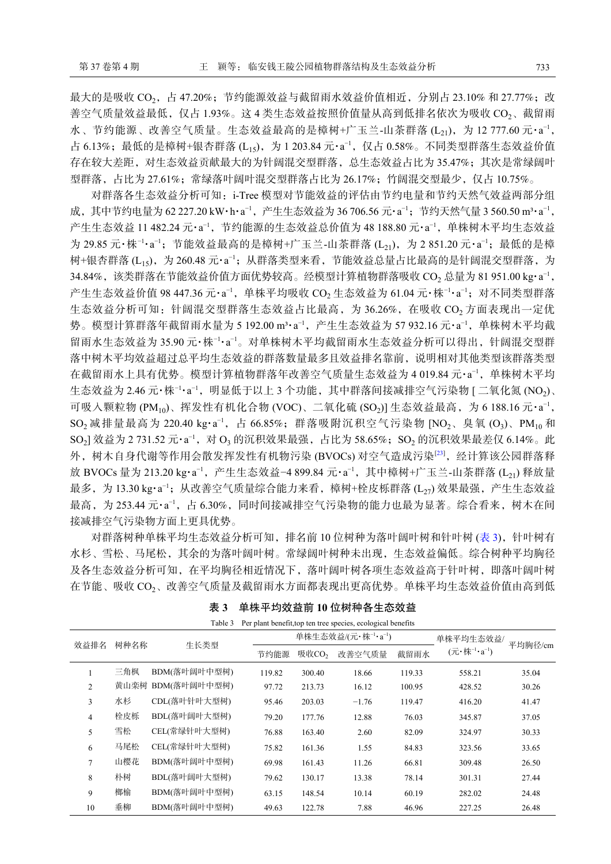最大的是吸收 CO<sub>2</sub>,占 47.20%;节约能源效益与截留雨水效益价值相近,分别占 23.10% 和 27.77%;改 善空气质量效益最低, 仅占 1.93%。这 4 类生态效益按照价值量从高到低排名依次为吸收 CO2、截留雨 水、节约能源、改善空气质量。生态效益最高的是樟树+广玉兰-山茶群落 (L21),为 12 777.60 元·a<sup>-1</sup>, 占 6.13%;最低的是樟树+银杏群落 (L15), 为 1 203.84 元·a<sup>-1</sup>, 仅占 0.58%。不同类型群落生态效益价值 存在较大差距,对生态效益贡献最大的为针阔混交型群落,总生态效益占比为 35.47%;其次是常绿阔叶 型群落,占比为 27.61%;常绿落叶阔叶混交型群落占比为 26.17%;竹阔混交型最少,仅占 10.75%。

对群落各生态效益分析可知: i-Tree 模型对节能效益的评估由节约电量和节约天然气效益两部分组 成,其中节约电量为 62 227.20 kW·h·a<sup>-1</sup>,产生生态效益为 36 706.56 元·a<sup>-1</sup>;节约天然气量 3 560.50 m3·a<sup>-1</sup>, 产生生态效益 11 482.24 元·a<sup>-1</sup>,节约能源的生态效益总价值为 48 188.80 元·a<sup>-1</sup>,单株树木平均生态效益 为 29.85 元·株<sup>-1</sup>·a<sup>-1</sup>; 节能效益最高的是樟树+广玉兰-山茶群落 (L<sub>21</sub>),为 2 851.20 元·a<sup>-1</sup>; 最低的是樟 树+银杏群落 (L<sub>15</sub>),为 260.48 元·a<sup>-1</sup>;从群落类型来看,节能效益总量占比最高的是针阔混交型群落,为 34.84%,该类群落在节能效益价值方面优势较高。经模型计算植物群落吸收 CO2 总量为 81 951.00 kg·a<sup>-1</sup>, 产生生态效益价值 98 447.36 元·a¯,单株平均吸收 CO<sub>2</sub> 生态效益为 61.04 元·株¯·a¯';对不同类型群落 生态效益分析可知: 针阔混交型群落生态效益占比最高, 为 36.26%, 在吸收 CO<sub>2</sub> 方面表现出一定优 势。模型计算群落年截留雨水量为 5 192.00 m3·a<sup>-1</sup>, 产生生态效益为 57 932.16 元·a<sup>-1</sup>, 单株树木平均截 留雨水生态效益为 35.90元·株<sup>-1</sup>·a<sup>-1</sup>。对单株树木平均截留雨水生态效益分析可以得出, 针阔混交型群 落中树木平均效益超过总平均生态效益的群落数量最多且效益排名靠前,说明相对其他类型该群落类型 在截留雨水上具有优势。模型计算植物群落年改善空气质量生态效益为4019.84元·a<sup>-1</sup>,单株树木平均 生态效益为 2.46 元·株∃·a¯,明显低于以上 3 个功能,其中群落间接减排空气污染物 [ 二氧化氮 (NO2)、 可吸入颗粒物 (PM10)、挥发性有机化合物 (VOC)、二氧化硫 (SO2)] 生态效益最高, 为 6 188.16 元·a<sup>-1</sup>, SO2 减排量最高为 220.40 kg·a<sup>-1</sup>, 占 66.85%; 群落吸附沉积空气污染物 [NO2、臭氧 (O3)、PM<sub>10</sub>和  ${\rm SO}_2$ ] 效益为 2 731.52 元·a<sup>-1</sup>,对 O3 的沉积效果最强,占比为 58.65%; ${\rm SO}_2$  的沉积效果最差仅 6.14%。此 外, 树木自身代谢等作用会散发挥发性有机物污染 (BVOCs) 对空气造成污染[[23](#page-7-12)], 经计算该公园群落释 放 BVOCs 量为 213.20 kg·a¯',产生生态效益−4 899.84 元·a¯',其中樟树+广玉兰-山荼群落 (L<sub>21</sub>) 释放量 最多,为 13.30 kg·a<sup>-1</sup>;从改善空气质量综合能力来看,樟树+栓皮栎群落 (L<sub>27</sub>) 效果最强,产生生态效益 最高, 为 253.44 元·a<sup>-1</sup>, 占 6.30%, 同时间接减排空气污染物的能力也最为显著。综合看来, 树木在间 接减排空气污染物方面上更具优势。

对群落树种单株平均生态效益分析可知, 排名前 10 位树种为落叶阔叶树和针叶树 ([表](#page-4-0) [3](#page-4-0)), 针叶树有 水杉、雪松、马尾松,其余的为落叶阔叶树。常绿阔叶树种未出现,生态效益偏低。综合树种平均胸径 及各生态效益分析可知,在平均胸径相近情况下,落叶阔叶树各项生态效益高于针叶树,即落叶阔叶树 在节能、吸收 CO2、改善空气质量及截留雨水方面都表现出更高优势。单株平均生态效益价值由高到低

|                |      | Table 3      |        |                                              | Per plant benefit, top ten tree species, ecological benefits |         |                                                         |       |
|----------------|------|--------------|--------|----------------------------------------------|--------------------------------------------------------------|---------|---------------------------------------------------------|-------|
| 效益排名           | 树种名称 | 生长类型         |        | 单株生态效益/(元·株 <sup>-1</sup> ·a <sup>-1</sup> ) | 单株平均生态效益/                                                    | 平均胸径/cm |                                                         |       |
|                |      |              | 节约能源   | 吸收CO <sub>2</sub>                            | 改善空气质量                                                       | 截留雨水    | $(\overline{\pi} \cdot \overline{k}^{-1} \cdot a^{-1})$ |       |
|                | 三角枫  | BDM(落叶阔叶中型树) | 119.82 | 300.40                                       | 18.66                                                        | 119.33  | 558.21                                                  | 35.04 |
| $\overline{2}$ | 黄山栾树 | BDM(落叶阔叶中型树) | 97.72  | 213.73                                       | 16.12                                                        | 100.95  | 428.52                                                  | 30.26 |
| 3              | 水杉   | CDL(落叶针叶大型树) | 95.46  | 203.03                                       | $-1.76$                                                      | 119.47  | 416.20                                                  | 41.47 |
| $\overline{4}$ | 栓皮栎  | BDL(落叶阔叶大型树) | 79.20  | 177.76                                       | 12.88                                                        | 76.03   | 345.87                                                  | 37.05 |
| 5              | 雪松   | CEL(常绿针叶大型树) | 76.88  | 163.40                                       | 2.60                                                         | 82.09   | 324.97                                                  | 30.33 |
| 6              | 马尾松  | CEL(常绿针叶大型树) | 75.82  | 161.36                                       | 1.55                                                         | 84.83   | 323.56                                                  | 33.65 |
| $\overline{7}$ | 山樱花  | BDM(落叶阔叶中型树) | 69.98  | 161.43                                       | 11.26                                                        | 66.81   | 309.48                                                  | 26.50 |
| 8              | 朴树   | BDL(落叶阔叶大型树) | 79.62  | 130.17                                       | 13.38                                                        | 78.14   | 301.31                                                  | 27.44 |
| 9              | 榔榆   | BDM(落叶阔叶中型树) | 63.15  | 148.54                                       | 10.14                                                        | 60.19   | 282.02                                                  | 24.48 |
| 10             | 垂柳   | BDM(落叶阔叶中型树) | 49.63  | 122.78                                       | 7.88                                                         | 46.96   | 227.25                                                  | 26.48 |

<span id="page-4-0"></span>表 **3**  单株平均效益前 **10** 位树种各生态效益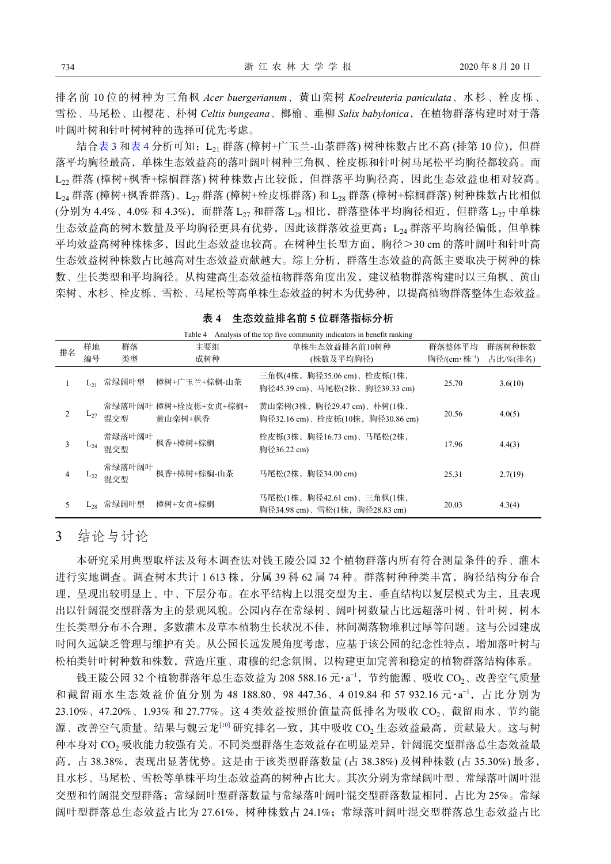排名前 10 位的树种为三角枫 *Acer buergerianum*、黄山栾树 *Koelreuteria paniculata*、水杉、栓皮栎、 雪松、马尾松、山樱花、朴树 *Celtis bungeana*、榔榆、垂柳 *Salix babylonica*,在植物群落构建时对于落 叶阔叶树和针叶树树种的选择可优先考虑。

结合[表](#page-5-0) [3](#page-4-0) 和表 [4](#page-5-0) 分析可知: L21 群落 (樟树+广玉兰-山茶群落) 树种株数占比不高 (排第 10 位), 但群 落平均胸径最高,单株生态效益高的落叶阔叶树种三角枫、栓皮栎和针叶树马尾松平均胸径都较高。而 L<sub>22</sub> 群落 (樟树+枫香+棕榈群落) 树种株数占比较低, 但群落平均胸径高, 因此生态效益也相对较高。 L<sub>24</sub> 群落 (樟树+枫香群落)、L<sub>27</sub> 群落 (樟树+栓皮栎群落) 和 L<sub>28</sub> 群落 (樟树+棕榈群落) 树种株数占比相似 (分别为 4.4%、4.0% 和 4.3%), 而群落 L<sub>27</sub> 和群落 L<sub>28</sub> 相比, 群落整体平均胸径相近, 但群落 L<sub>27</sub> 中单株 生态效益高的树木数量及平均胸径更具有优势,因此该群落效益更高; L24 群落平均胸径偏低, 但单株 平均效益高树种株株多,因此生态效益也较高。在树种生长型方面,胸径>30 cm 的落叶阔叶和针叶高 生态效益树种株数占比越高对生态效益贡献越大。综上分析,群落生态效益的高低主要取决于树种的株 数、生长类型和平均胸径。从构建高生态效益植物群落角度出发,建议植物群落构建时以三角枫、黄山 栾树、水杉、栓皮栎、雪松、马尾松等高单株生态效益的树木为优势种,以提高植物群落整体生态效益。

| Analysis of the top five community indicators in benefit ranking<br>Table 4 |          |               |                                 |                                                                 |             |          |  |  |  |
|-----------------------------------------------------------------------------|----------|---------------|---------------------------------|-----------------------------------------------------------------|-------------|----------|--|--|--|
| 样地<br>排名<br>编号                                                              |          | 群落            | 主要组                             | 单株生态效益排名前10树种                                                   | 群落整体平均      | 群落树种株数   |  |  |  |
|                                                                             |          | 类型            | 成树种                             | (株数及平均胸径)                                                       | 胸径/(cm·株-1) | 占比/%(排名) |  |  |  |
|                                                                             | L٦1      | 常绿阔叶型         | 樟树+广玉兰+棕榈-山茶                    | 三角枫(4株,胸径35.06 cm)、栓皮栎(1株,<br>胸径45.39 cm)、马尾松(2株, 胸径39.33 cm)   | 25.70       | 3.6(10)  |  |  |  |
|                                                                             | $L_{27}$ | 混交型           | 常绿落叶阔叶 樟树+栓皮栎+女贞+棕榈+<br>黄山栾树+枫香 | 黄山栾树(3株, 胸径29.47 cm)、朴树(1株,<br>胸径32.16 cm)、栓皮栎(10株, 胸径30.86 cm) | 20.56       | 4.0(5)   |  |  |  |
| 3                                                                           | $L_{24}$ | 常绿落叶阔叶<br>混交型 | 枫香+樟树+棕榈                        | 栓皮栎(3株, 胸径16.73 cm)、马尾松(2株,<br>胸径36.22 cm)                      | 17.96       | 4.4(3)   |  |  |  |
|                                                                             | $L_{22}$ | 常绿落叶阔叶<br>混交型 | 枫香+樟树+棕榈-山茶                     | 马尾松(2株, 胸径34.00 cm)                                             | 25.31       | 2.7(19)  |  |  |  |
| 5.                                                                          | ⊾مط      | 常绿阔叶型         | 樟树+女贞+棕榈                        | 马尾松(1株, 胸径42.61 cm)、三角枫(1株,<br>胸径34.98 cm)、雪松(1株,胸径28.83 cm)    | 20.03       | 4.3(4)   |  |  |  |

<span id="page-5-0"></span>

### 3 结论与讨论

本研究采用典型取样法及每木调查法对钱王陵公园 32 个植物群落内所有符合测量条件的乔、灌木 进行实地调查。调查树木共计 1 613 株, 分属 39 科 62 属 74 种。群落树种种类丰富, 胸径结构分布合 理,呈现出较明显上、中、下层分布。在水平结构上以混交型为主,垂直结构以复层模式为主,且表现 出以针阔混交型群落为主的景观风貌。公园内存在常绿树、阔叶树数量占比远超落叶树、针叶树,树木 生长类型分布不合理,多数灌木及草本植物生长状况不佳,林间凋落物堆积过厚等问题。这与公园建成 时间久远缺乏管理与维护有关。从公园长远发展角度考虑,应基于该公园的纪念性特点,增加落叶树与 松柏类针叶树种数和株数,营造庄重、肃穆的纪念氛围,以构建更加完善和稳定的植物群落结构体系。

钱王陵公园 32 个植物群落年总生态效益为 208 588.16 元·a<sup>-1</sup>,节约能源、吸收 CO<sub>2</sub>、改善空气质量 和截留雨水生态效益价值分别为 48 188.80、98 447.36、4 019.84 和 57 932.16元·a<sup>-1</sup>,占比分别为 23.10%、47.20%、1.93% 和 27.77%。这 4 类效益按照价值量高低排名为吸收 CO<sub>2</sub>、截留雨水、节约能 源、改善空气质量。结果与魏云龙<sup>[\[10](#page-6-9)]</sup> 研究排名一致, 其中吸收 CO<sub>2</sub> 生态效益最高, 贡献最大。这与树 种本身对 CO<sup>2</sup> 吸收能力较强有关。不同类型群落生态效益存在明显差异,针阔混交型群落总生态效益最 高,占 38.38%,表现出显著优势。这是由于该类型群落数量 (占 38.38%) 及树种株数 (占 35.30%) 最多, 且水杉、马尾松、雪松等单株平均生态效益高的树种占比大。其次分别为常绿阔叶型、常绿落叶阔叶混 交型和竹阔混交型群落;常绿阔叶型群落数量与常绿落叶阔叶混交型群落数量相同,占比为 25%。常绿 阔叶型群落总生态效益占比为 27.61%, 树种株数占 24.1%; 常绿落叶阔叶混交型群落总生态效益占比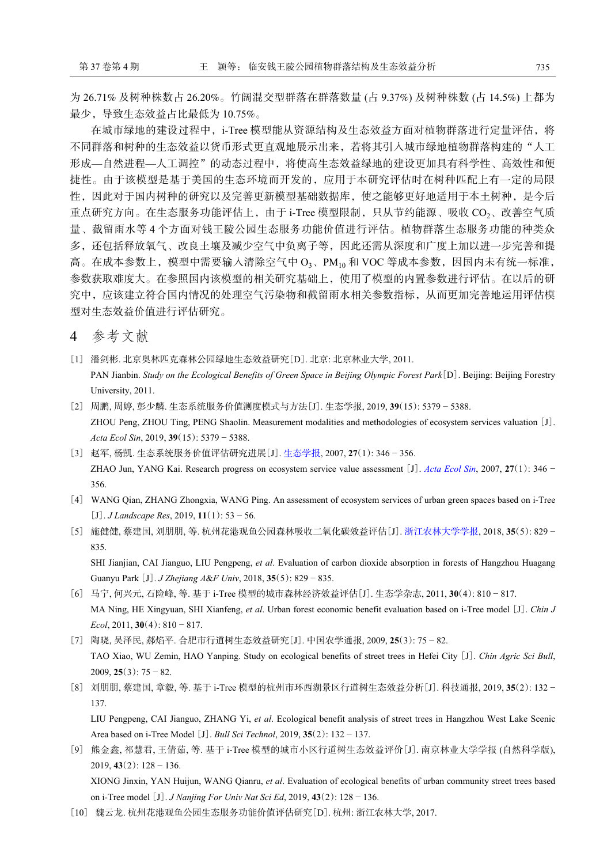为 26.71% 及树种株数占 26.20%。竹阔混交型群落在群落数量 (占 9.37%) 及树种株数 (占 14.5%) 上都为 最少,导致生态效益占比最低为 10.75%。

在城市绿地的建设过程中,i-Tree 模型能从资源结构及生态效益方面对植物群落进行定量评估,将 不同群落和树种的生态效益以货币形式更直观地展示出来,若将其引入城市绿地植物群落构建的"人工 形成—自然进程—人工调控"的动态过程中,将使高生态效益绿地的建设更加具有科学性、高效性和便 捷性。由于该模型是基于美国的生态环境而开发的,应用于本研究评估时在树种匹配上有一定的局限 性,因此对于国内树种的研究以及完善更新模型基础数据库,使之能够更好地适用于本土树种,是今后 重点研究方向。在生态服务功能评估上,由于 i-Tree 模型限制,只从节约能源、吸收 CO2、改善空气质 量、截留雨水等 4 个方面对钱王陵公园生态服务功能价值进行评估。植物群落生态服务功能的种类众 多,还包括释放氧气、改良土壤及减少空气中负离子等,因此还需从深度和广度上加以进一步完善和提 高。在成本参数上,模型中需要输入清除空气中 O3、PM10 和 VOC 等成本参数,因国内未有统一标准, 参数获取难度大。在参照国内该模型的相关研究基础上,使用了模型的内置参数进行评估。在以后的研 究中,应该建立符合国内情况的处理空气污染物和截留雨水相关参数指标,从而更加完善地运用评估模 型对生态效益价值进行评估研究。

4 参考文献

- <span id="page-6-0"></span>[1] 潘剑彬. 北京奥林匹克森林公园绿地生态效益研究[D]. 北京: 北京林业大学, 2011. PAN Jianbin. *Study on the Ecological Benefits of Green Space in Beijing Olympic Forest Park*[D]. Beijing: Beijing Forestry University, 2011.
- <span id="page-6-1"></span>[2] 周鹏, 周婷, 彭少麟. 生态系统服务价值测度模式与方法[J]. 生态学报, 2019, **39**(15): 5379 − 5388. ZHOU Peng, ZHOU Ting, PENG Shaolin. Measurement modalities and methodologies of ecosystem services valuation [J]. *Acta Ecol Sin*, 2019, **39**(15): 5379 − 5388.
- <span id="page-6-2"></span>[3] 赵军, 杨凯. 生态系统服务价值评估研究进展[J]. [生态学报](https://doi.org/10.3321/j.issn:1000-0933.2007.01.041), 2007, **27**(1): 346 − 356. ZHAO Jun, YANG Kai. Research progress on ecosystem service value assessment [J]. *[Acta Ecol Sin](https://doi.org/10.3321/j.issn:1000-0933.2007.01.041)*, 2007, **27**(1): 346 − 356.
- <span id="page-6-3"></span>[4] WANG Qian, ZHANG Zhongxia, WANG Ping. An assessment of ecosystem services of urban green spaces based on i-Tree [J]. *J Landscape Res*, 2019, **11**(1): 53 − 56.
- <span id="page-6-4"></span>[5] 施健健, 蔡建国, 刘朋朋, 等. 杭州花港观鱼公园森林吸收二氧化碳效益评估[J]. [浙江农林大学学报](https://doi.org/10.11833/j.issn.2095-0756.2018.05.006), 2018, **35**(5): 829 − 835.

SHI Jianjian, CAI Jianguo, LIU Pengpeng, *et al*. Evaluation of carbon dioxide absorption in forests of Hangzhou Huagang Guanyu Park [J]. *J Zhejiang A*&*F Univ*, 2018, **35**(5): 829 − 835.

- <span id="page-6-5"></span>[6] 马宁, 何兴元, 石险峰, 等. 基于 i-Tree 模型的城市森林经济效益评估[J]. 生态学杂志, 2011, **30**(4): 810 − 817. MA Ning, HE Xingyuan, SHI Xianfeng, *et al*. Urban forest economic benefit evaluation based on i-Tree model [J]. *Chin J Ecol*, 2011, **30**(4): 810 − 817.
- <span id="page-6-6"></span>[7] 陶晓, 吴泽民, 郝焰平. 合肥市行道树生态效益研究[J]. 中国农学通报, 2009, **25**(3): 75 − 82. TAO Xiao, WU Zemin, HAO Yanping. Study on ecological benefits of street trees in Hefei City [J]. *Chin Agric Sci Bull*, 2009, **25**(3): 75 − 82.
- <span id="page-6-7"></span>[8] 刘朋朋, 蔡建国, 章毅, 等. 基于 i-Tree 模型的杭州市环西湖景区行道树生态效益分析[J]. 科技通报, 2019, **35**(2): 132 − 137.

LIU Pengpeng, CAI Jianguo, ZHANG Yi, *et al*. Ecological benefit analysis of street trees in Hangzhou West Lake Scenic Area based on i-Tree Model [J]. *Bull Sci Technol*, 2019, **35**(2): 132 − 137.

<span id="page-6-8"></span>[9] 熊金鑫, 祁慧君, 王倩茹, 等. 基于 i-Tree 模型的城市小区行道树生态效益评价[J]. 南京林业大学学报 (自然科学版), 2019, **43**(2): 128 − 136.

XIONG Jinxin, YAN Huijun, WANG Qianru, *et al*. Evaluation of ecological benefits of urban community street trees based on i-Tree model [J]. *J Nanjing For Univ Nat Sci Ed*, 2019, **43**(2): 128 − 136.

<span id="page-6-9"></span>[10] 魏云龙. 杭州花港观鱼公园生态服务功能价值评估研究[D]. 杭州: 浙江农林大学, 2017.